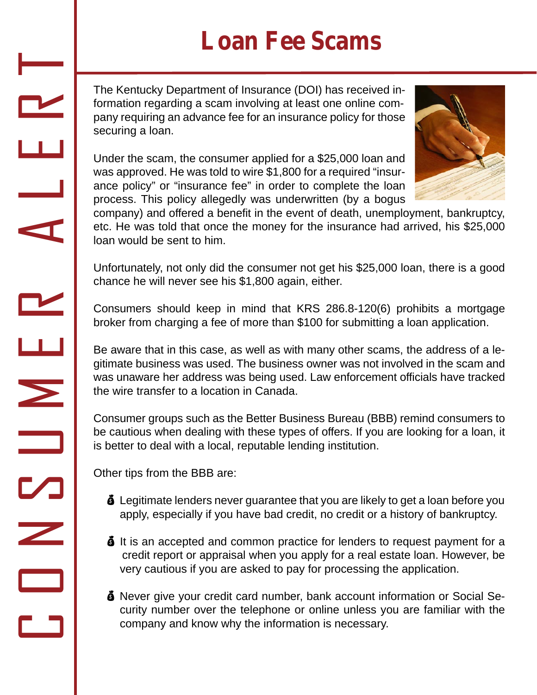## **Loan Fee Scams**

The Kentucky Department of Insurance (DOI) has received information regarding a scam involving at least one online company requiring an advance fee for an insurance policy for those securing a loan.

Under the scam, the consumer applied for a \$25,000 loan and was approved. He was told to wire \$1,800 for a required "insurance policy" or "insurance fee" in order to complete the loan process. This policy allegedly was underwritten (by a bogus



company) and offered a benefit in the event of death, unemployment, bankruptcy, etc. He was told that once the money for the insurance had arrived, his \$25,000 loan would be sent to him.

Unfortunately, not only did the consumer not get his \$25,000 loan, there is a good chance he will never see his \$1,800 again, either.

Consumers should keep in mind that KRS 286.8-120(6) prohibits a mortgage broker from charging a fee of more than \$100 for submitting a loan application.

Be aware that in this case, as well as with many other scams, the address of a legitimate business was used. The business owner was not involved in the scam and was unaware her address was being used. Law enforcement officials have tracked the wire transfer to a location in Canada.

Consumer groups such as the Better Business Bureau (BBB) remind consumers to be cautious when dealing with these types of offers. If you are looking for a loan, it is better to deal with a local, reputable lending institution.

Other tips from the BBB are:

 $\Box$ 

O

N

 $\boldsymbol{\triangledown}$ 

<u>USA di Indonesia di Indonesia di Indonesia di Indonesia di Indonesia di Indonesia di Indonesia di Indonesia d</u>

 $\blacktriangleright$ 

E

R

A

L

E

R

 $\overline{\phantom{0}}$ 

- **S** Legitimate lenders never guarantee that you are likely to get a loan before you apply, especially if you have bad credit, no credit or a history of bankruptcy.
- $\ddot{\bullet}$  It is an accepted and common practice for lenders to request payment for a credit report or appraisal when you apply for a real estate loan. However, be very cautious if you are asked to pay for processing the application.
- **S** Never give your credit card number, bank account information or Social Security number over the telephone or online unless you are familiar with the company and know why the information is necessary.